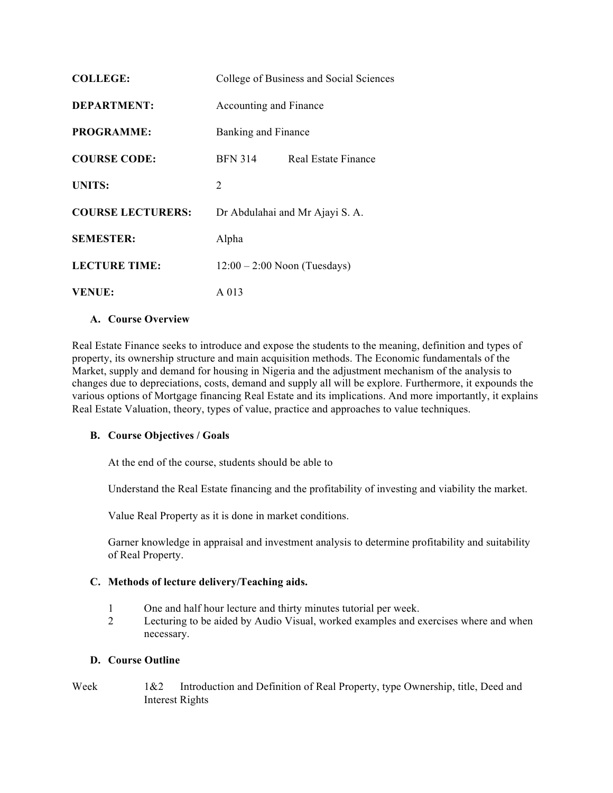| <b>COLLEGE:</b>          | College of Business and Social Sciences |                     |
|--------------------------|-----------------------------------------|---------------------|
| <b>DEPARTMENT:</b>       | Accounting and Finance                  |                     |
| <b>PROGRAMME:</b>        | Banking and Finance                     |                     |
| <b>COURSE CODE:</b>      | <b>BFN 314</b>                          | Real Estate Finance |
| <b>UNITS:</b>            | 2                                       |                     |
| <b>COURSE LECTURERS:</b> | Dr Abdulahai and Mr Ajayi S. A.         |                     |
| <b>SEMESTER:</b>         | Alpha                                   |                     |
| LECTURE TIME:            | $12:00 - 2:00$ Noon (Tuesdays)          |                     |
| <b>VENUE:</b>            | A 013                                   |                     |

### **A. Course Overview**

Real Estate Finance seeks to introduce and expose the students to the meaning, definition and types of property, its ownership structure and main acquisition methods. The Economic fundamentals of the Market, supply and demand for housing in Nigeria and the adjustment mechanism of the analysis to changes due to depreciations, costs, demand and supply all will be explore. Furthermore, it expounds the various options of Mortgage financing Real Estate and its implications. And more importantly, it explains Real Estate Valuation, theory, types of value, practice and approaches to value techniques.

#### **B. Course Objectives / Goals**

At the end of the course, students should be able to

Understand the Real Estate financing and the profitability of investing and viability the market.

Value Real Property as it is done in market conditions.

Garner knowledge in appraisal and investment analysis to determine profitability and suitability of Real Property.

#### **C. Methods of lecture delivery/Teaching aids.**

- 1 One and half hour lecture and thirty minutes tutorial per week.
- 2 Lecturing to be aided by Audio Visual, worked examples and exercises where and when necessary.

### **D. Course Outline**

Week 1&2 Introduction and Definition of Real Property, type Ownership, title, Deed and Interest Rights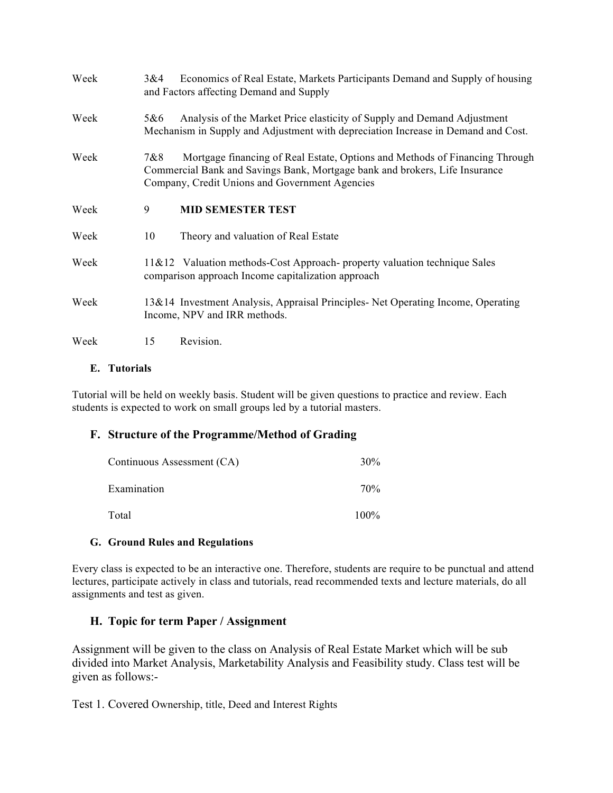| Week | 3&4 | Economics of Real Estate, Markets Participants Demand and Supply of housing<br>and Factors affecting Demand and Supply                                                                                       |
|------|-----|--------------------------------------------------------------------------------------------------------------------------------------------------------------------------------------------------------------|
| Week | 5&6 | Analysis of the Market Price elasticity of Supply and Demand Adjustment<br>Mechanism in Supply and Adjustment with depreciation Increase in Demand and Cost.                                                 |
| Week | 7&8 | Mortgage financing of Real Estate, Options and Methods of Financing Through<br>Commercial Bank and Savings Bank, Mortgage bank and brokers, Life Insurance<br>Company, Credit Unions and Government Agencies |
| Week | 9   | <b>MID SEMESTER TEST</b>                                                                                                                                                                                     |
| Week | 10  | Theory and valuation of Real Estate                                                                                                                                                                          |
| Week |     | 11&12 Valuation methods-Cost Approach- property valuation technique Sales<br>comparison approach Income capitalization approach                                                                              |
| Week |     | 13&14 Investment Analysis, Appraisal Principles- Net Operating Income, Operating<br>Income, NPV and IRR methods.                                                                                             |
| Week | 15  | Revision.                                                                                                                                                                                                    |

### **E. Tutorials**

Tutorial will be held on weekly basis. Student will be given questions to practice and review. Each students is expected to work on small groups led by a tutorial masters.

## **F. Structure of the Programme/Method of Grading**

| Continuous Assessment (CA) | 30%  |
|----------------------------|------|
| Examination                | 70%  |
| Total                      | 100% |

## **G. Ground Rules and Regulations**

Every class is expected to be an interactive one. Therefore, students are require to be punctual and attend lectures, participate actively in class and tutorials, read recommended texts and lecture materials, do all assignments and test as given.

# **H. Topic for term Paper / Assignment**

Assignment will be given to the class on Analysis of Real Estate Market which will be sub divided into Market Analysis, Marketability Analysis and Feasibility study. Class test will be given as follows:-

Test 1. Covered Ownership, title, Deed and Interest Rights